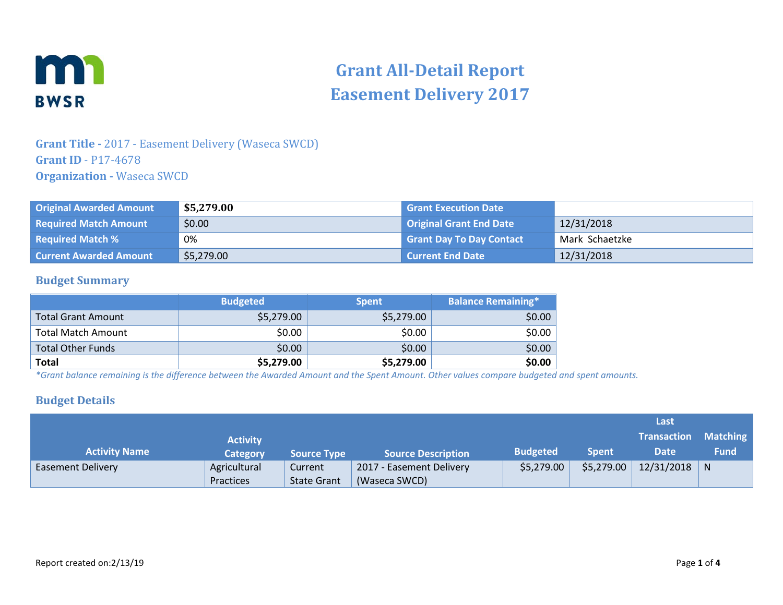

# **Grant All-Detail Report Easement Delivery 2017**

## **Grant Title -** 2017 - Easement Delivery (Waseca SWCD) **Grant ID** - P17-4678 **Organization -** Waseca SWCD

| <b>Original Awarded Amount</b> | \$5,279.00 | <b>Grant Execution Date</b>     |                |
|--------------------------------|------------|---------------------------------|----------------|
| <b>Required Match Amount</b>   | \$0.00     | <b>Original Grant End Date</b>  | 12/31/2018     |
| <b>Required Match %</b>        | 0%         | <b>Grant Day To Day Contact</b> | Mark Schaetzke |
| <b>Current Awarded Amount</b>  | \$5,279.00 | <b>Current End Date</b>         | 12/31/2018     |

#### **Budget Summary**

|                           | <b>Budgeted</b> | <b>Spent</b> | <b>Balance Remaining*</b> |
|---------------------------|-----------------|--------------|---------------------------|
| <b>Total Grant Amount</b> | \$5,279.00      | \$5,279.00   | \$0.00                    |
| Total Match Amount        | \$0.00          | \$0.00       | \$0.00                    |
| <b>Total Other Funds</b>  | \$0.00          | \$0.00       | \$0.00                    |
| <b>Total</b>              | \$5,279.00      | \$5,279.00   | \$0.00                    |

*\*Grant balance remaining is the difference between the Awarded Amount and the Spent Amount. Other values compare budgeted and spent amounts.*

#### **Budget Details**

|                          |                 |                    |                           |                 |              | Last               |                 |
|--------------------------|-----------------|--------------------|---------------------------|-----------------|--------------|--------------------|-----------------|
|                          | <b>Activity</b> |                    |                           |                 |              | <b>Transaction</b> | <b>Matching</b> |
| <b>Activity Name</b>     | <b>Category</b> | <b>Source Type</b> | <b>Source Description</b> | <b>Budgeted</b> | <b>Spent</b> | Date               | <b>Fund</b>     |
| <b>Easement Delivery</b> | Agricultural    | Current            | 2017 - Easement Delivery  | \$5,279.00      | \$5,279.00   | $12/31/2018$ N     |                 |
|                          | Practices       | <b>State Grant</b> | (Waseca SWCD)             |                 |              |                    |                 |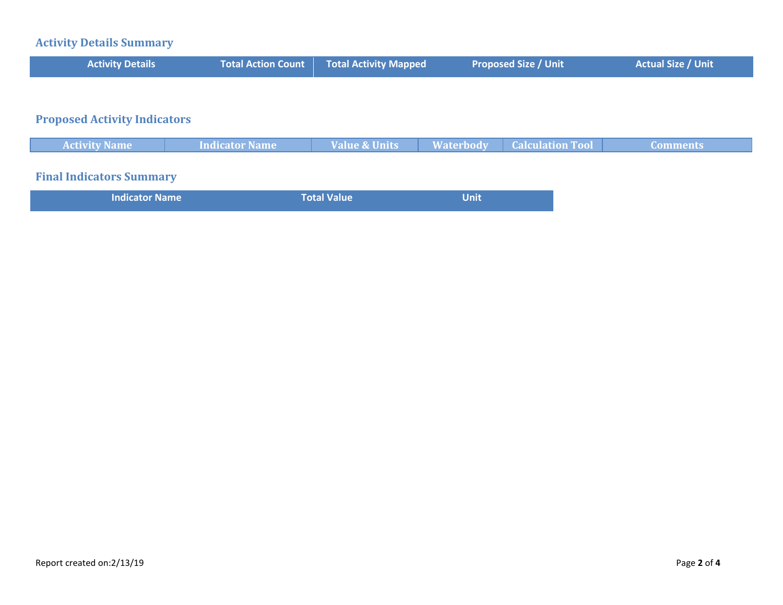# **Activity Details Summary**

| <b>Activity Details</b>             | <b>Total Action Count</b> | <b>Total Activity Mapped</b> | <b>Proposed Size / Unit</b>                 | <b>Actual Size / Unit</b> |
|-------------------------------------|---------------------------|------------------------------|---------------------------------------------|---------------------------|
|                                     |                           |                              |                                             |                           |
| <b>Proposed Activity Indicators</b> |                           |                              |                                             |                           |
| <b>Activity Name</b>                | Indicator Name            | <b>Value &amp; Units</b>     | <b>Calculation Tool</b><br><b>Waterbody</b> | <b>Comments</b>           |
| <b>Final Indicators Summary</b>     |                           |                              |                                             |                           |

| Total Value<br><b>Indicator Name</b><br>Unit |  |
|----------------------------------------------|--|
|----------------------------------------------|--|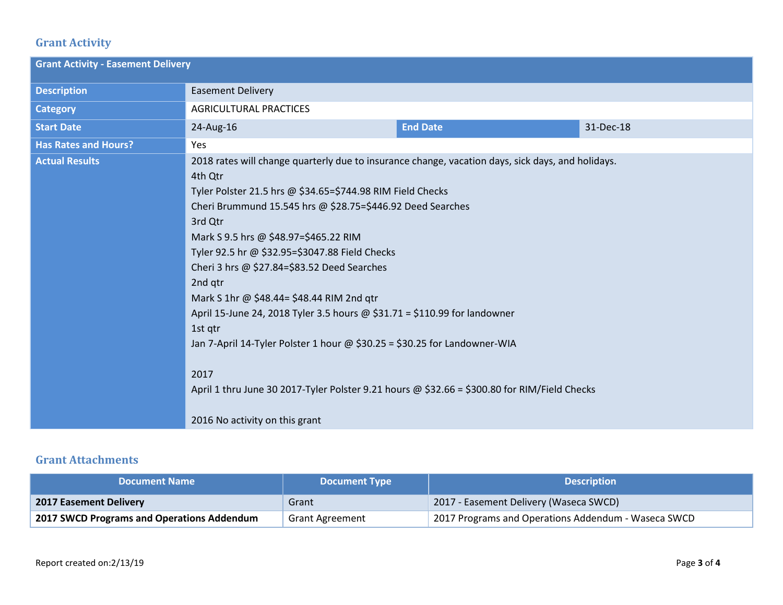# **Grant Activity**

| <b>Grant Activity - Easement Delivery</b> |                                                                                                                                                                                                                                                                                                                                                                                                                                                                                                                                                                                                                                                                                                                                    |                 |           |  |
|-------------------------------------------|------------------------------------------------------------------------------------------------------------------------------------------------------------------------------------------------------------------------------------------------------------------------------------------------------------------------------------------------------------------------------------------------------------------------------------------------------------------------------------------------------------------------------------------------------------------------------------------------------------------------------------------------------------------------------------------------------------------------------------|-----------------|-----------|--|
| <b>Description</b>                        | <b>Easement Delivery</b>                                                                                                                                                                                                                                                                                                                                                                                                                                                                                                                                                                                                                                                                                                           |                 |           |  |
| <b>Category</b>                           | <b>AGRICULTURAL PRACTICES</b>                                                                                                                                                                                                                                                                                                                                                                                                                                                                                                                                                                                                                                                                                                      |                 |           |  |
| <b>Start Date</b>                         | 24-Aug-16                                                                                                                                                                                                                                                                                                                                                                                                                                                                                                                                                                                                                                                                                                                          | <b>End Date</b> | 31-Dec-18 |  |
| <b>Has Rates and Hours?</b>               | Yes                                                                                                                                                                                                                                                                                                                                                                                                                                                                                                                                                                                                                                                                                                                                |                 |           |  |
| <b>Actual Results</b>                     | 2018 rates will change quarterly due to insurance change, vacation days, sick days, and holidays.<br>4th Qtr<br>Tyler Polster 21.5 hrs @ \$34.65=\$744.98 RIM Field Checks<br>Cheri Brummund 15.545 hrs @ \$28.75=\$446.92 Deed Searches<br>3rd Qtr<br>Mark S 9.5 hrs @ \$48.97=\$465.22 RIM<br>Tyler 92.5 hr @ \$32.95=\$3047.88 Field Checks<br>Cheri 3 hrs @ \$27.84=\$83.52 Deed Searches<br>2nd qtr<br>Mark S 1hr @ \$48.44= \$48.44 RIM 2nd gtr<br>April 15-June 24, 2018 Tyler 3.5 hours @ \$31.71 = \$110.99 for landowner<br>1st qtr<br>Jan 7-April 14-Tyler Polster 1 hour @ \$30.25 = \$30.25 for Landowner-WIA<br>2017<br>April 1 thru June 30 2017-Tyler Polster 9.21 hours @ \$32.66 = \$300.80 for RIM/Field Checks |                 |           |  |
|                                           | 2016 No activity on this grant                                                                                                                                                                                                                                                                                                                                                                                                                                                                                                                                                                                                                                                                                                     |                 |           |  |

### **Grant Attachments**

| <b>Document Name</b>                       | <b>Document Type</b>   | <b>Description</b>                                  |
|--------------------------------------------|------------------------|-----------------------------------------------------|
| <b>2017 Easement Delivery</b>              | Grant                  | 2017 - Easement Delivery (Waseca SWCD)              |
| 2017 SWCD Programs and Operations Addendum | <b>Grant Agreement</b> | 2017 Programs and Operations Addendum - Waseca SWCD |